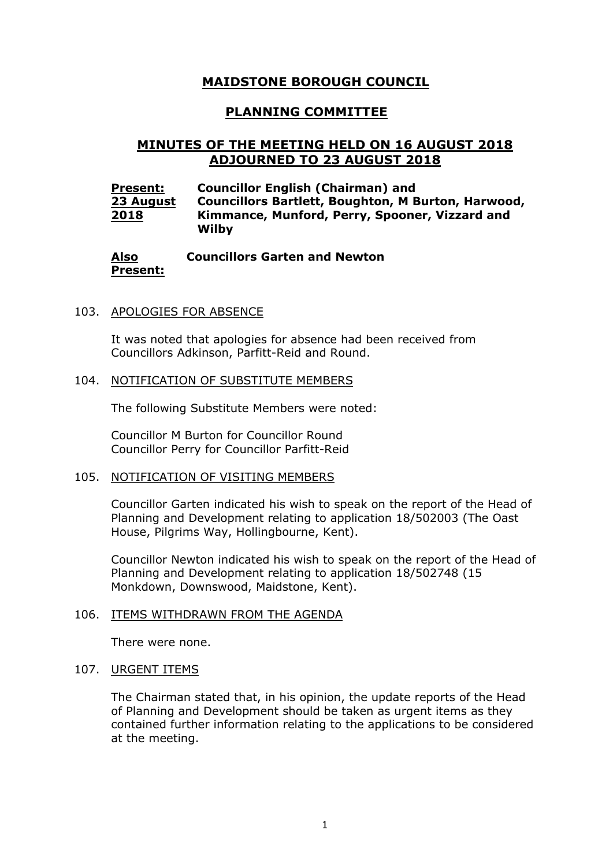# **MAIDSTONE BOROUGH COUNCIL**

## **PLANNING COMMITTEE**

# **MINUTES OF THE MEETING HELD ON 16 AUGUST 2018 ADJOURNED TO 23 AUGUST 2018**

| <b>Present:</b> | <b>Councillor English (Chairman) and</b>                  |
|-----------------|-----------------------------------------------------------|
| 23 August       | <b>Councillors Bartlett, Boughton, M Burton, Harwood,</b> |
| 2018            | Kimmance, Munford, Perry, Spooner, Vizzard and<br>Wilby   |

#### **Also Present: Councillors Garten and Newton**

### 103. APOLOGIES FOR ABSENCE

It was noted that apologies for absence had been received from Councillors Adkinson, Parfitt-Reid and Round.

#### 104. NOTIFICATION OF SUBSTITUTE MEMBERS

The following Substitute Members were noted:

Councillor M Burton for Councillor Round Councillor Perry for Councillor Parfitt-Reid

### 105. NOTIFICATION OF VISITING MEMBERS

Councillor Garten indicated his wish to speak on the report of the Head of Planning and Development relating to application 18/502003 (The Oast House, Pilgrims Way, Hollingbourne, Kent).

Councillor Newton indicated his wish to speak on the report of the Head of Planning and Development relating to application 18/502748 (15 Monkdown, Downswood, Maidstone, Kent).

### 106. ITEMS WITHDRAWN FROM THE AGENDA

There were none.

### 107. URGENT ITEMS

The Chairman stated that, in his opinion, the update reports of the Head of Planning and Development should be taken as urgent items as they contained further information relating to the applications to be considered at the meeting.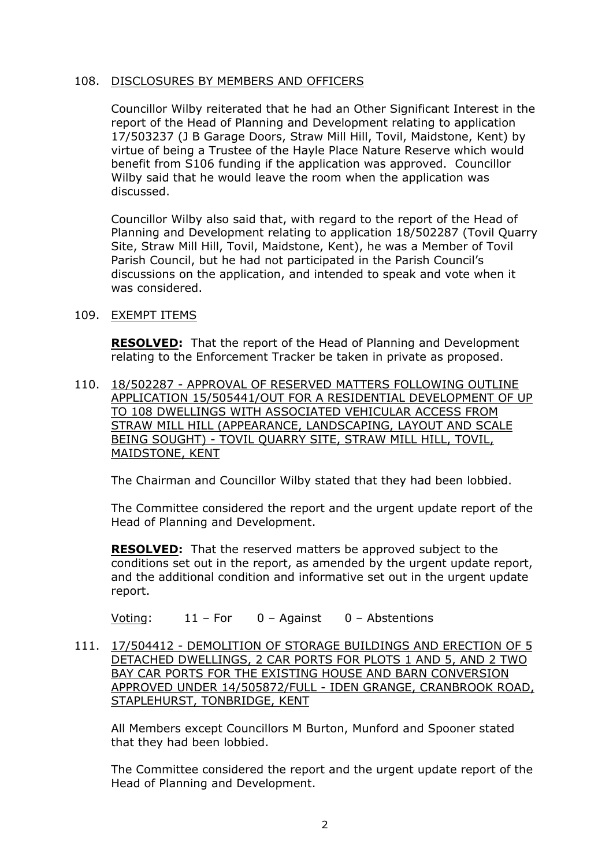### 108. DISCLOSURES BY MEMBERS AND OFFICERS

Councillor Wilby reiterated that he had an Other Significant Interest in the report of the Head of Planning and Development relating to application 17/503237 (J B Garage Doors, Straw Mill Hill, Tovil, Maidstone, Kent) by virtue of being a Trustee of the Hayle Place Nature Reserve which would benefit from S106 funding if the application was approved. Councillor Wilby said that he would leave the room when the application was discussed.

Councillor Wilby also said that, with regard to the report of the Head of Planning and Development relating to application 18/502287 (Tovil Quarry Site, Straw Mill Hill, Tovil, Maidstone, Kent), he was a Member of Tovil Parish Council, but he had not participated in the Parish Council's discussions on the application, and intended to speak and vote when it was considered.

### 109. EXEMPT ITEMS

**RESOLVED:** That the report of the Head of Planning and Development relating to the Enforcement Tracker be taken in private as proposed.

110. 18/502287 - APPROVAL OF RESERVED MATTERS FOLLOWING OUTLINE APPLICATION 15/505441/OUT FOR A RESIDENTIAL DEVELOPMENT OF UP TO 108 DWELLINGS WITH ASSOCIATED VEHICULAR ACCESS FROM STRAW MILL HILL (APPEARANCE, LANDSCAPING, LAYOUT AND SCALE BEING SOUGHT) - TOVIL QUARRY SITE, STRAW MILL HILL, TOVIL, MAIDSTONE, KENT

The Chairman and Councillor Wilby stated that they had been lobbied.

The Committee considered the report and the urgent update report of the Head of Planning and Development.

**RESOLVED:** That the reserved matters be approved subject to the conditions set out in the report, as amended by the urgent update report, and the additional condition and informative set out in the urgent update report.

Voting: 11 – For 0 – Against 0 – Abstentions

111. 17/504412 - DEMOLITION OF STORAGE BUILDINGS AND ERECTION OF 5 DETACHED DWELLINGS, 2 CAR PORTS FOR PLOTS 1 AND 5, AND 2 TWO BAY CAR PORTS FOR THE EXISTING HOUSE AND BARN CONVERSION APPROVED UNDER 14/505872/FULL - IDEN GRANGE, CRANBROOK ROAD, STAPLEHURST, TONBRIDGE, KENT

All Members except Councillors M Burton, Munford and Spooner stated that they had been lobbied.

The Committee considered the report and the urgent update report of the Head of Planning and Development.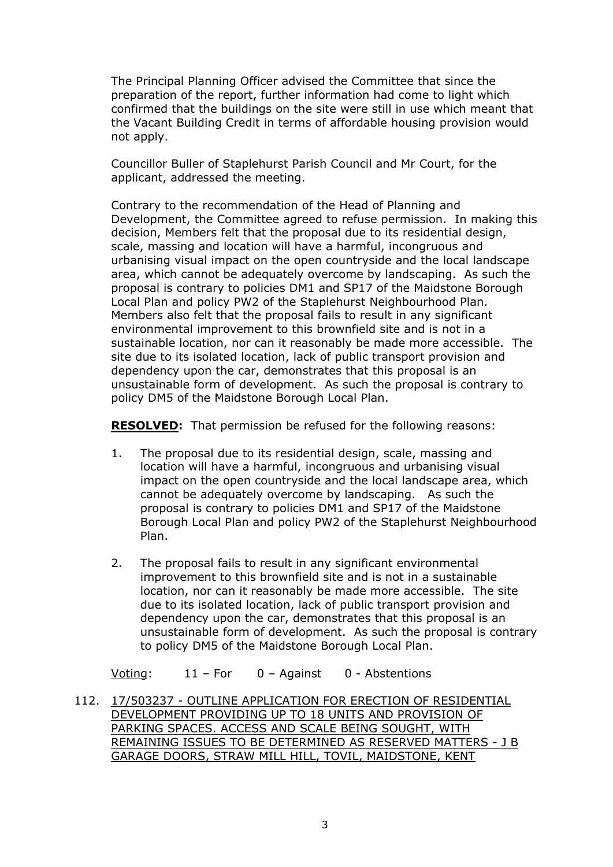The Principal Planning Officer advised the Committee that since the preparation of the report, further information had come to light which confirmed that the buildings on the site were still in use which meant that the Vacant Building Credit in terms of affordable housing provision would not apply.

Councillor Buller of Staplehurst Parish Council and Mr Court, for the applicant, addressed the meeting.

Contrary to the recommendation of the Head of Planning and Development, the Committee agreed to refuse permission. In making this decision, Members felt that the proposal due to its residential design, scale, massing and location will have a harmful, incongruous and urbanising visual impact on the open countryside and the local landscape area, which cannot be adequately overcome by landscaping. As such the proposal is contrary to policies DM1 and SP17 of the Maidstone Borough Local Plan and policy PW2 of the Staplehurst Neighbourhood Plan. Members also felt that the proposal fails to result in any significant environmental improvement to this brownfield site and is not in a sustainable location, nor can it reasonably be made more accessible. The site due to its isolated location, lack of public transport provision and dependency upon the car, demonstrates that this proposal is an unsustainable form of development. As such the proposal is contrary to policy DM5 of the Maidstone Borough Local Plan.

**RESOLVED:** That permission be refused for the following reasons:

- 1. The proposal due to its residential design, scale, massing and location will have a harmful, incongruous and urbanising visual impact on the open countryside and the local landscape area, which cannot be adequately overcome by landscaping. As such the proposal is contrary to policies DM1 and SP17 of the Maidstone Borough Local Plan and policy PW2 of the Staplehurst Neighbourhood Plan.
- 2. The proposal fails to result in any significant environmental improvement to this brownfield site and is not in a sustainable location, nor can it reasonably be made more accessible. The site due to its isolated location, lack of public transport provision and dependency upon the car, demonstrates that this proposal is an unsustainable form of development. As such the proposal is contrary to policy DM5 of the Maidstone Borough Local Plan.

Voting: 11 – For 0 – Against 0 - Abstentions

112. 17/503237 - OUTLINE APPLICATION FOR ERECTION OF RESIDENTIAL DEVELOPMENT PROVIDING UP TO 18 UNITS AND PROVISION OF PARKING SPACES. ACCESS AND SCALE BEING SOUGHT, WITH REMAINING ISSUES TO BE DETERMINED AS RESERVED MATTERS - J B GARAGE DOORS, STRAW MILL HILL, TOVIL, MAIDSTONE, KENT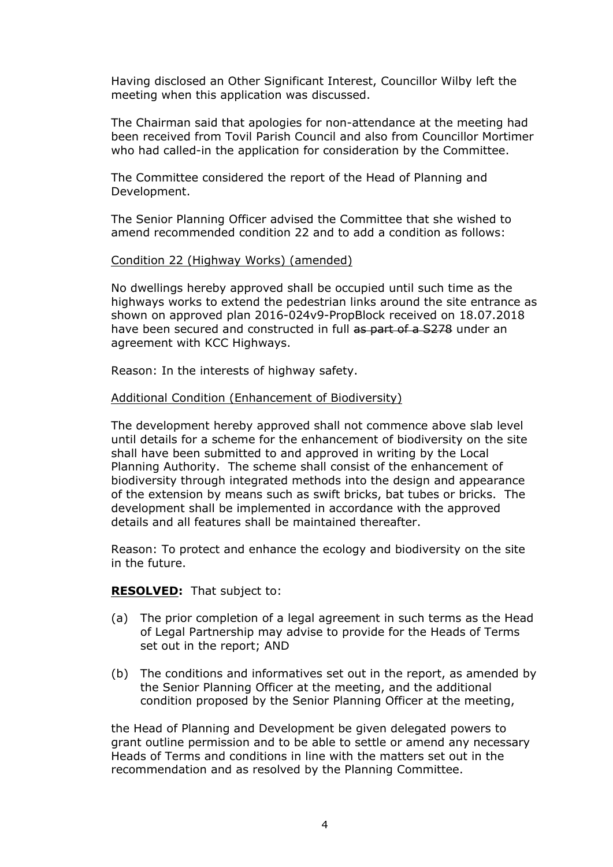Having disclosed an Other Significant Interest, Councillor Wilby left the meeting when this application was discussed.

The Chairman said that apologies for non-attendance at the meeting had been received from Tovil Parish Council and also from Councillor Mortimer who had called-in the application for consideration by the Committee.

The Committee considered the report of the Head of Planning and Development.

The Senior Planning Officer advised the Committee that she wished to amend recommended condition 22 and to add a condition as follows:

#### Condition 22 (Highway Works) (amended)

No dwellings hereby approved shall be occupied until such time as the highways works to extend the pedestrian links around the site entrance as shown on approved plan 2016-024v9-PropBlock received on 18.07.2018 have been secured and constructed in full as part of a S278 under an agreement with KCC Highways.

Reason: In the interests of highway safety.

#### Additional Condition (Enhancement of Biodiversity)

The development hereby approved shall not commence above slab level until details for a scheme for the enhancement of biodiversity on the site shall have been submitted to and approved in writing by the Local Planning Authority. The scheme shall consist of the enhancement of biodiversity through integrated methods into the design and appearance of the extension by means such as swift bricks, bat tubes or bricks. The development shall be implemented in accordance with the approved details and all features shall be maintained thereafter.

Reason: To protect and enhance the ecology and biodiversity on the site in the future.

#### **RESOLVED:** That subject to:

- (a) The prior completion of a legal agreement in such terms as the Head of Legal Partnership may advise to provide for the Heads of Terms set out in the report; AND
- (b) The conditions and informatives set out in the report, as amended by the Senior Planning Officer at the meeting, and the additional condition proposed by the Senior Planning Officer at the meeting,

the Head of Planning and Development be given delegated powers to grant outline permission and to be able to settle or amend any necessary Heads of Terms and conditions in line with the matters set out in the recommendation and as resolved by the Planning Committee.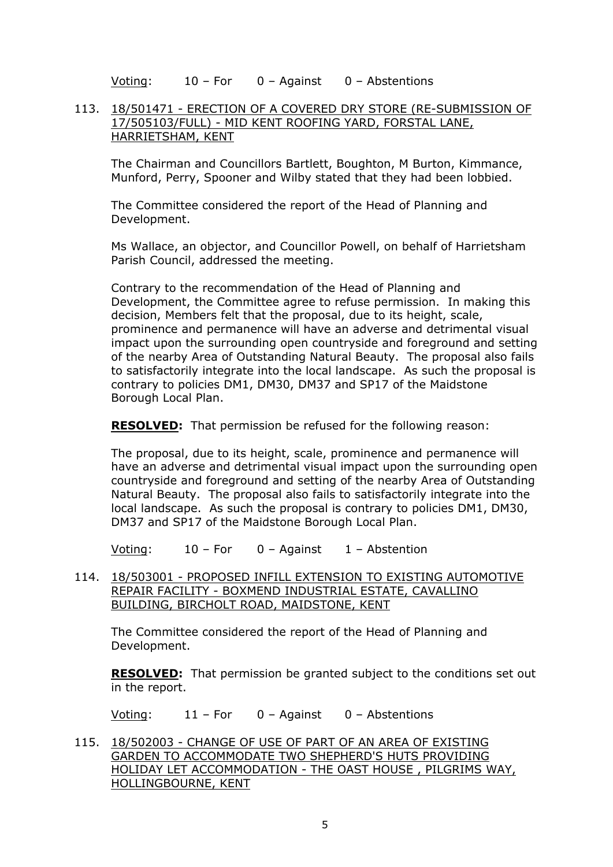Voting: 10 – For 0 – Against 0 – Abstentions

### 113. 18/501471 - ERECTION OF A COVERED DRY STORE (RE-SUBMISSION OF 17/505103/FULL) - MID KENT ROOFING YARD, FORSTAL LANE, HARRIETSHAM, KENT

The Chairman and Councillors Bartlett, Boughton, M Burton, Kimmance, Munford, Perry, Spooner and Wilby stated that they had been lobbied.

The Committee considered the report of the Head of Planning and Development.

Ms Wallace, an objector, and Councillor Powell, on behalf of Harrietsham Parish Council, addressed the meeting.

Contrary to the recommendation of the Head of Planning and Development, the Committee agree to refuse permission. In making this decision, Members felt that the proposal, due to its height, scale, prominence and permanence will have an adverse and detrimental visual impact upon the surrounding open countryside and foreground and setting of the nearby Area of Outstanding Natural Beauty. The proposal also fails to satisfactorily integrate into the local landscape. As such the proposal is contrary to policies DM1, DM30, DM37 and SP17 of the Maidstone Borough Local Plan.

**RESOLVED:** That permission be refused for the following reason:

The proposal, due to its height, scale, prominence and permanence will have an adverse and detrimental visual impact upon the surrounding open countryside and foreground and setting of the nearby Area of Outstanding Natural Beauty. The proposal also fails to satisfactorily integrate into the local landscape. As such the proposal is contrary to policies DM1, DM30, DM37 and SP17 of the Maidstone Borough Local Plan.

Voting: 10 – For 0 – Against 1 – Abstention

114. 18/503001 - PROPOSED INFILL EXTENSION TO EXISTING AUTOMOTIVE REPAIR FACILITY - BOXMEND INDUSTRIAL ESTATE, CAVALLINO BUILDING, BIRCHOLT ROAD, MAIDSTONE, KENT

The Committee considered the report of the Head of Planning and Development.

**RESOLVED:** That permission be granted subject to the conditions set out in the report.

Voting: 11 – For 0 – Against 0 – Abstentions

115. 18/502003 - CHANGE OF USE OF PART OF AN AREA OF EXISTING GARDEN TO ACCOMMODATE TWO SHEPHERD'S HUTS PROVIDING HOLIDAY LET ACCOMMODATION - THE OAST HOUSE , PILGRIMS WAY, HOLLINGBOURNE, KENT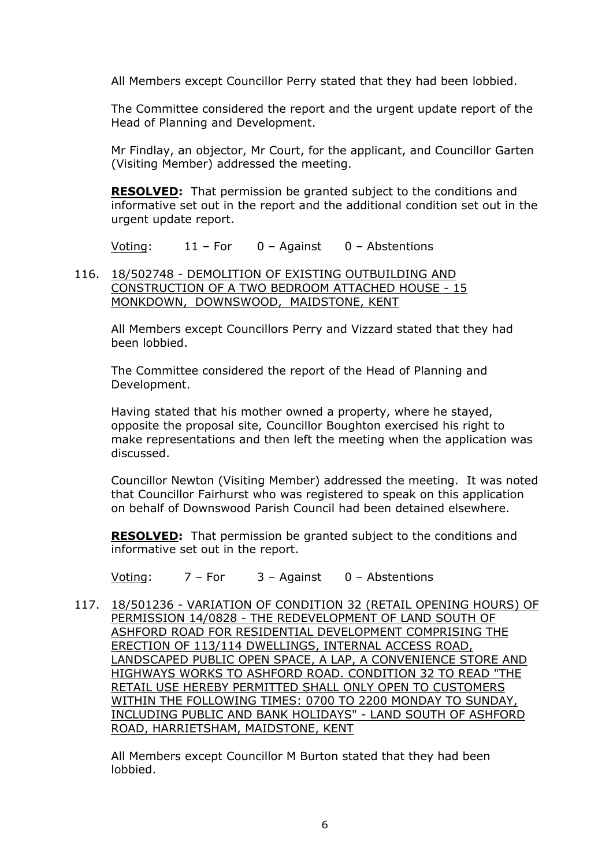All Members except Councillor Perry stated that they had been lobbied.

The Committee considered the report and the urgent update report of the Head of Planning and Development.

Mr Findlay, an objector, Mr Court, for the applicant, and Councillor Garten (Visiting Member) addressed the meeting.

**RESOLVED:** That permission be granted subject to the conditions and informative set out in the report and the additional condition set out in the urgent update report.

Voting: 11 – For 0 – Against 0 – Abstentions

### 116. 18/502748 - DEMOLITION OF EXISTING OUTBUILDING AND CONSTRUCTION OF A TWO BEDROOM ATTACHED HOUSE - 15 MONKDOWN, DOWNSWOOD, MAIDSTONE, KENT

All Members except Councillors Perry and Vizzard stated that they had been lobbied.

The Committee considered the report of the Head of Planning and Development.

Having stated that his mother owned a property, where he stayed, opposite the proposal site, Councillor Boughton exercised his right to make representations and then left the meeting when the application was discussed.

Councillor Newton (Visiting Member) addressed the meeting. It was noted that Councillor Fairhurst who was registered to speak on this application on behalf of Downswood Parish Council had been detained elsewhere.

**RESOLVED:** That permission be granted subject to the conditions and informative set out in the report.

Voting: 7 – For 3 – Against 0 – Abstentions

117. 18/501236 - VARIATION OF CONDITION 32 (RETAIL OPENING HOURS) OF PERMISSION 14/0828 - THE REDEVELOPMENT OF LAND SOUTH OF ASHFORD ROAD FOR RESIDENTIAL DEVELOPMENT COMPRISING THE ERECTION OF 113/114 DWELLINGS, INTERNAL ACCESS ROAD, LANDSCAPED PUBLIC OPEN SPACE, A LAP, A CONVENIENCE STORE AND HIGHWAYS WORKS TO ASHFORD ROAD. CONDITION 32 TO READ "THE RETAIL USE HEREBY PERMITTED SHALL ONLY OPEN TO CUSTOMERS WITHIN THE FOLLOWING TIMES: 0700 TO 2200 MONDAY TO SUNDAY, INCLUDING PUBLIC AND BANK HOLIDAYS" - LAND SOUTH OF ASHFORD ROAD, HARRIETSHAM, MAIDSTONE, KENT

All Members except Councillor M Burton stated that they had been lobbied.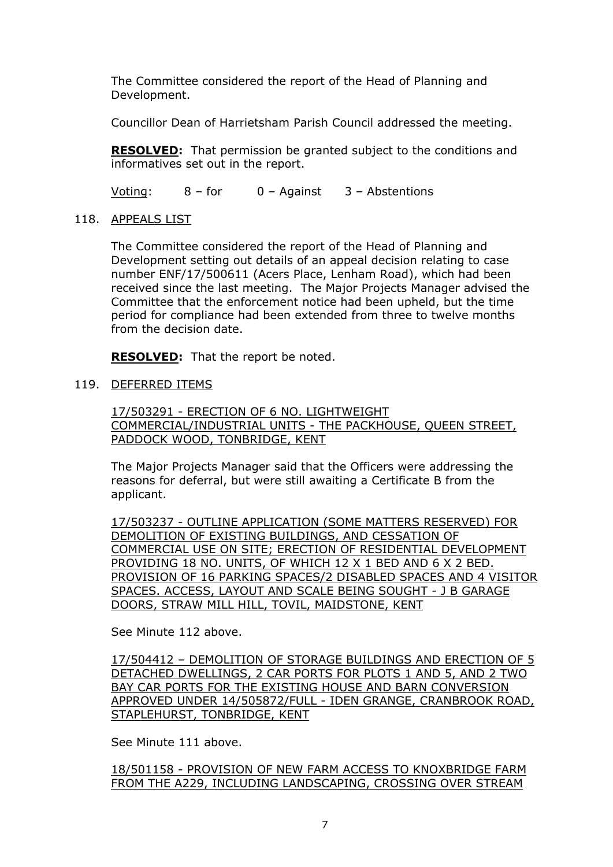The Committee considered the report of the Head of Planning and Development.

Councillor Dean of Harrietsham Parish Council addressed the meeting.

**RESOLVED:** That permission be granted subject to the conditions and informatives set out in the report.

Voting: 8 – for 0 – Against 3 – Abstentions

118. APPEALS LIST

The Committee considered the report of the Head of Planning and Development setting out details of an appeal decision relating to case number ENF/17/500611 (Acers Place, Lenham Road), which had been received since the last meeting. The Major Projects Manager advised the Committee that the enforcement notice had been upheld, but the time period for compliance had been extended from three to twelve months from the decision date.

**RESOLVED:** That the report be noted.

### 119. DEFERRED ITEMS

17/503291 - ERECTION OF 6 NO. LIGHTWEIGHT COMMERCIAL/INDUSTRIAL UNITS - THE PACKHOUSE, QUEEN STREET, PADDOCK WOOD, TONBRIDGE, KENT

The Major Projects Manager said that the Officers were addressing the reasons for deferral, but were still awaiting a Certificate B from the applicant.

17/503237 - OUTLINE APPLICATION (SOME MATTERS RESERVED) FOR DEMOLITION OF EXISTING BUILDINGS, AND CESSATION OF COMMERCIAL USE ON SITE; ERECTION OF RESIDENTIAL DEVELOPMENT PROVIDING 18 NO. UNITS, OF WHICH 12 X 1 BED AND 6 X 2 BED. PROVISION OF 16 PARKING SPACES/2 DISABLED SPACES AND 4 VISITOR SPACES. ACCESS, LAYOUT AND SCALE BEING SOUGHT - J B GARAGE DOORS, STRAW MILL HILL, TOVIL, MAIDSTONE, KENT

See Minute 112 above.

17/504412 – DEMOLITION OF STORAGE BUILDINGS AND ERECTION OF 5 DETACHED DWELLINGS, 2 CAR PORTS FOR PLOTS 1 AND 5, AND 2 TWO BAY CAR PORTS FOR THE EXISTING HOUSE AND BARN CONVERSION APPROVED UNDER 14/505872/FULL - IDEN GRANGE, CRANBROOK ROAD, STAPLEHURST, TONBRIDGE, KENT

See Minute 111 above.

18/501158 - PROVISION OF NEW FARM ACCESS TO KNOXBRIDGE FARM FROM THE A229, INCLUDING LANDSCAPING, CROSSING OVER STREAM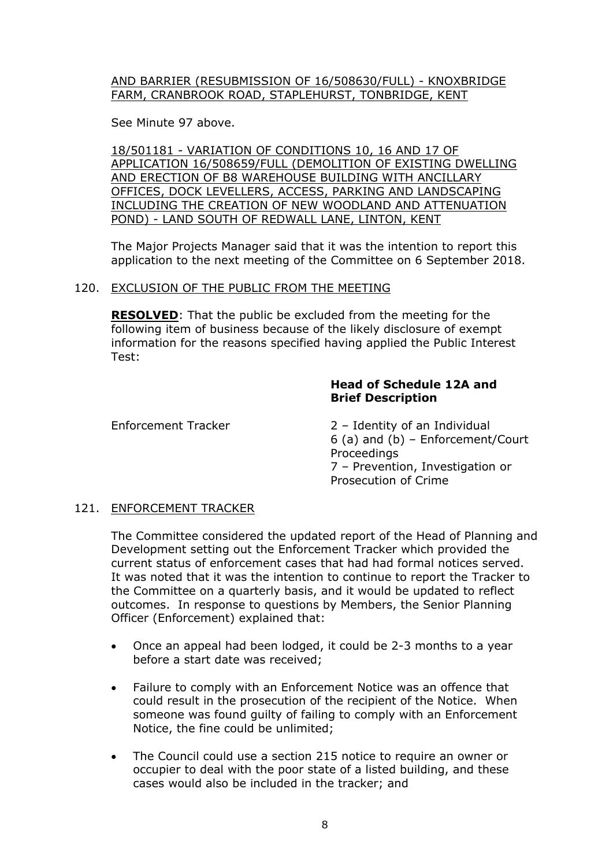### AND BARRIER (RESUBMISSION OF 16/508630/FULL) - KNOXBRIDGE FARM, CRANBROOK ROAD, STAPLEHURST, TONBRIDGE, KENT

See Minute 97 above.

18/501181 - VARIATION OF CONDITIONS 10, 16 AND 17 OF APPLICATION 16/508659/FULL (DEMOLITION OF EXISTING DWELLING AND ERECTION OF B8 WAREHOUSE BUILDING WITH ANCILLARY OFFICES, DOCK LEVELLERS, ACCESS, PARKING AND LANDSCAPING INCLUDING THE CREATION OF NEW WOODLAND AND ATTENUATION POND) - LAND SOUTH OF REDWALL LANE, LINTON, KENT

The Major Projects Manager said that it was the intention to report this application to the next meeting of the Committee on 6 September 2018.

## 120. EXCLUSION OF THE PUBLIC FROM THE MEETING

**RESOLVED**: That the public be excluded from the meeting for the following item of business because of the likely disclosure of exempt information for the reasons specified having applied the Public Interest Test:

### **Head of Schedule 12A and Brief Description**

Enforcement Tracker 2 – Identity of an Individual 6 (a) and (b) – Enforcement/Court Proceedings 7 – Prevention, Investigation or Prosecution of Crime

## 121. ENFORCEMENT TRACKER

The Committee considered the updated report of the Head of Planning and Development setting out the Enforcement Tracker which provided the current status of enforcement cases that had had formal notices served. It was noted that it was the intention to continue to report the Tracker to the Committee on a quarterly basis, and it would be updated to reflect outcomes. In response to questions by Members, the Senior Planning Officer (Enforcement) explained that:

- Once an appeal had been lodged, it could be 2-3 months to a year before a start date was received;
- Failure to comply with an Enforcement Notice was an offence that could result in the prosecution of the recipient of the Notice. When someone was found guilty of failing to comply with an Enforcement Notice, the fine could be unlimited;
- The Council could use a section 215 notice to require an owner or occupier to deal with the poor state of a listed building, and these cases would also be included in the tracker; and